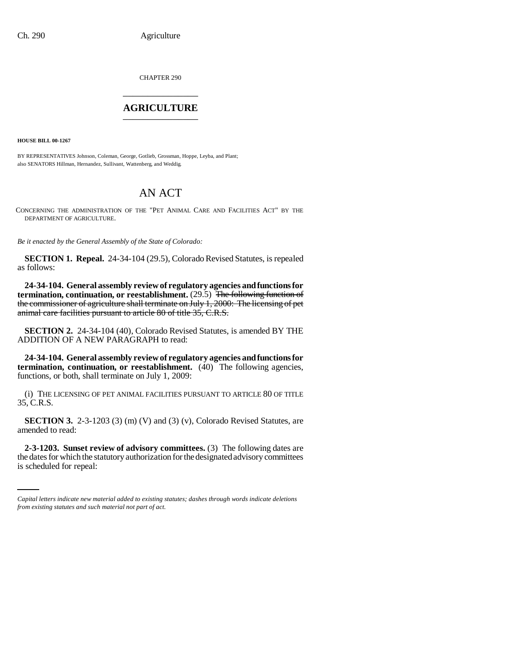CHAPTER 290 \_\_\_\_\_\_\_\_\_\_\_\_\_\_\_

## **AGRICULTURE** \_\_\_\_\_\_\_\_\_\_\_\_\_\_\_

**HOUSE BILL 00-1267** 

BY REPRESENTATIVES Johnson, Coleman, George, Gotlieb, Grossman, Hoppe, Leyba, and Plant; also SENATORS Hillman, Hernandez, Sullivant, Wattenberg, and Weddig.

## AN ACT

CONCERNING THE ADMINISTRATION OF THE "PET ANIMAL CARE AND FACILITIES ACT" BY THE DEPARTMENT OF AGRICULTURE.

*Be it enacted by the General Assembly of the State of Colorado:*

**SECTION 1. Repeal.** 24-34-104 (29.5), Colorado Revised Statutes, is repealed as follows:

**24-34-104. General assembly review of regulatory agencies and functions for termination, continuation, or reestablishment.** (29.5) The following function of the commissioner of agriculture shall terminate on July 1, 2000: The licensing of pet animal care facilities pursuant to article 80 of title 35, C.R.S.

**SECTION 2.** 24-34-104 (40), Colorado Revised Statutes, is amended BY THE ADDITION OF A NEW PARAGRAPH to read:

**24-34-104. General assembly review of regulatory agencies and functions for termination, continuation, or reestablishment.** (40) The following agencies, functions, or both, shall terminate on July 1, 2009:

(i) THE LICENSING OF PET ANIMAL FACILITIES PURSUANT TO ARTICLE 80 OF TITLE 35, C.R.S.

**SECTION 3.** 2-3-1203 (3) (m) (V) and (3) (v), Colorado Revised Statutes, are amended to read:

 **2-3-1203. Sunset review of advisory committees.** (3) The following dates are the dates for which the statutory authorization for the designated advisory committees is scheduled for repeal:

*Capital letters indicate new material added to existing statutes; dashes through words indicate deletions from existing statutes and such material not part of act.*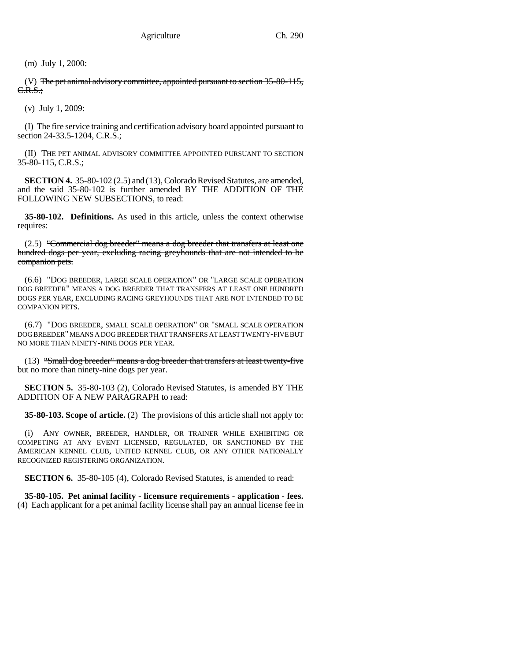(m) July 1, 2000:

(V) The pet animal advisory committee, appointed pursuant to section 35-80-115, C.R.S.;

(v) July 1, 2009:

(I) The fire service training and certification advisory board appointed pursuant to section 24-33.5-1204, C.R.S.;

(II) THE PET ANIMAL ADVISORY COMMITTEE APPOINTED PURSUANT TO SECTION 35-80-115, C.R.S.;

**SECTION 4.** 35-80-102 (2.5) and (13), Colorado Revised Statutes, are amended, and the said 35-80-102 is further amended BY THE ADDITION OF THE FOLLOWING NEW SUBSECTIONS, to read:

**35-80-102. Definitions.** As used in this article, unless the context otherwise requires:

(2.5) "Commercial dog breeder" means a dog breeder that transfers at least one hundred dogs per year, excluding racing greyhounds that are not intended to be companion pets.

(6.6) "DOG BREEDER, LARGE SCALE OPERATION" OR "LARGE SCALE OPERATION DOG BREEDER" MEANS A DOG BREEDER THAT TRANSFERS AT LEAST ONE HUNDRED DOGS PER YEAR, EXCLUDING RACING GREYHOUNDS THAT ARE NOT INTENDED TO BE COMPANION PETS.

(6.7) "DOG BREEDER, SMALL SCALE OPERATION" OR "SMALL SCALE OPERATION DOG BREEDER" MEANS A DOG BREEDER THAT TRANSFERS AT LEAST TWENTY-FIVE BUT NO MORE THAN NINETY-NINE DOGS PER YEAR.

(13) "Small dog breeder" means a dog breeder that transfers at least twenty-five but no more than ninety-nine dogs per year.

**SECTION 5.** 35-80-103 (2), Colorado Revised Statutes, is amended BY THE ADDITION OF A NEW PARAGRAPH to read:

**35-80-103. Scope of article.** (2) The provisions of this article shall not apply to:

(i) ANY OWNER, BREEDER, HANDLER, OR TRAINER WHILE EXHIBITING OR COMPETING AT ANY EVENT LICENSED, REGULATED, OR SANCTIONED BY THE AMERICAN KENNEL CLUB, UNITED KENNEL CLUB, OR ANY OTHER NATIONALLY RECOGNIZED REGISTERING ORGANIZATION.

**SECTION 6.** 35-80-105 (4), Colorado Revised Statutes, is amended to read:

**35-80-105. Pet animal facility - licensure requirements - application - fees.** (4) Each applicant for a pet animal facility license shall pay an annual license fee in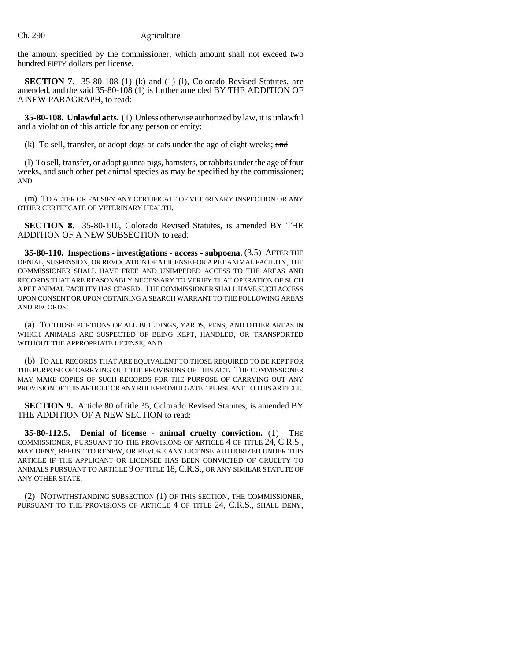the amount specified by the commissioner, which amount shall not exceed two hundred FIFTY dollars per license.

**SECTION 7.** 35-80-108 (1) (k) and (1) (l), Colorado Revised Statutes, are amended, and the said 35-80-108 (1) is further amended BY THE ADDITION OF A NEW PARAGRAPH, to read:

**35-80-108. Unlawful acts.** (1) Unless otherwise authorized by law, it is unlawful and a violation of this article for any person or entity:

(k) To sell, transfer, or adopt dogs or cats under the age of eight weeks;  $\alpha$ nd

(l) To sell, transfer, or adopt guinea pigs, hamsters, or rabbits under the age of four weeks, and such other pet animal species as may be specified by the commissioner; AND

(m) TO ALTER OR FALSIFY ANY CERTIFICATE OF VETERINARY INSPECTION OR ANY OTHER CERTIFICATE OF VETERINARY HEALTH.

**SECTION 8.** 35-80-110, Colorado Revised Statutes, is amended BY THE ADDITION OF A NEW SUBSECTION to read:

**35-80-110. Inspections - investigations - access - subpoena.** (3.5) AFTER THE DENIAL, SUSPENSION, OR REVOCATION OF A LICENSE FOR A PET ANIMAL FACILITY, THE COMMISSIONER SHALL HAVE FREE AND UNIMPEDED ACCESS TO THE AREAS AND RECORDS THAT ARE REASONABLY NECESSARY TO VERIFY THAT OPERATION OF SUCH A PET ANIMAL FACILITY HAS CEASED. THE COMMISSIONER SHALL HAVE SUCH ACCESS UPON CONSENT OR UPON OBTAINING A SEARCH WARRANT TO THE FOLLOWING AREAS AND RECORDS:

(a) TO THOSE PORTIONS OF ALL BUILDINGS, YARDS, PENS, AND OTHER AREAS IN WHICH ANIMALS ARE SUSPECTED OF BEING KEPT, HANDLED, OR TRANSPORTED WITHOUT THE APPROPRIATE LICENSE; AND

(b) TO ALL RECORDS THAT ARE EQUIVALENT TO THOSE REQUIRED TO BE KEPT FOR THE PURPOSE OF CARRYING OUT THE PROVISIONS OF THIS ACT. THE COMMISSIONER MAY MAKE COPIES OF SUCH RECORDS FOR THE PURPOSE OF CARRYING OUT ANY PROVISION OF THIS ARTICLE OR ANY RULE PROMULGATED PURSUANT TO THIS ARTICLE.

**SECTION 9.** Article 80 of title 35, Colorado Revised Statutes, is amended BY THE ADDITION OF A NEW SECTION to read:

**35-80-112.5. Denial of license - animal cruelty conviction.** (1) THE COMMISSIONER, PURSUANT TO THE PROVISIONS OF ARTICLE 4 OF TITLE 24, C.R.S., MAY DENY, REFUSE TO RENEW, OR REVOKE ANY LICENSE AUTHORIZED UNDER THIS ARTICLE IF THE APPLICANT OR LICENSEE HAS BEEN CONVICTED OF CRUELTY TO ANIMALS PURSUANT TO ARTICLE 9 OF TITLE 18, C.R.S., OR ANY SIMILAR STATUTE OF ANY OTHER STATE.

(2) NOTWITHSTANDING SUBSECTION (1) OF THIS SECTION, THE COMMISSIONER, PURSUANT TO THE PROVISIONS OF ARTICLE 4 OF TITLE 24, C.R.S., SHALL DENY,